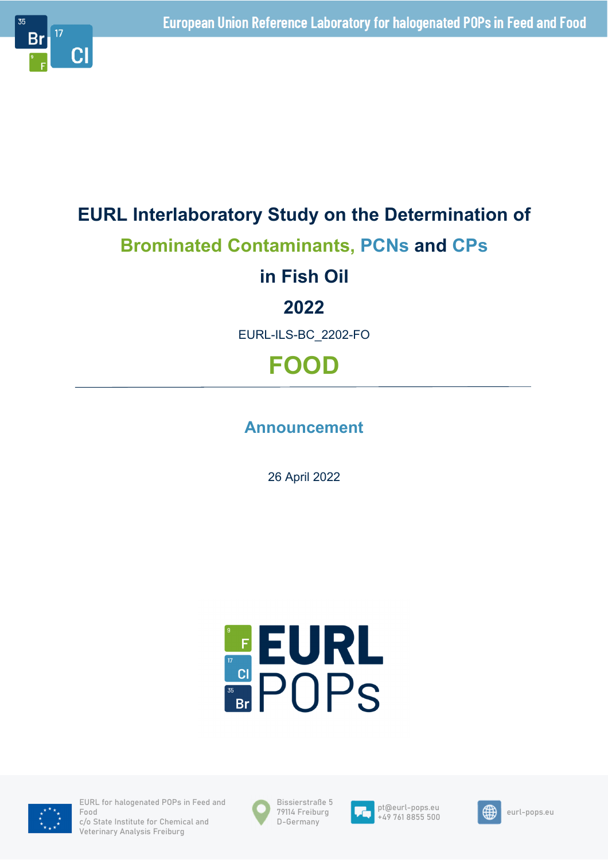

# **EURL Interlaboratory Study on the Determination of Brominated Contaminants, PCNs and CPs in Fish Oil 2022** EURL-ILS-BC\_2202-FO **FOOD**

# **Announcement**

26 April 2022





EURL for halogenated POPs in Feed and Food c/o State Institute for Chemical and Veterinary Analysis Freiburg





pt@eurl-pops.eu pt@eurl-pops.eu<br>+49 761 8855 500

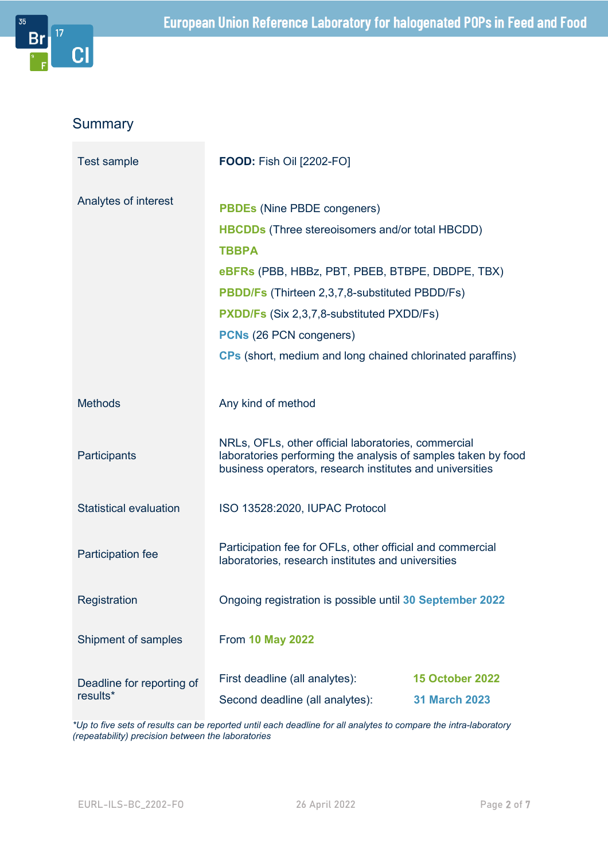

# **Summary**

| Test sample                           | <b>FOOD: Fish Oil [2202-FO]</b>                                                                                                                                                                                                                                                                                                                                                     |                                                |
|---------------------------------------|-------------------------------------------------------------------------------------------------------------------------------------------------------------------------------------------------------------------------------------------------------------------------------------------------------------------------------------------------------------------------------------|------------------------------------------------|
| Analytes of interest                  | <b>PBDEs (Nine PBDE congeners)</b><br><b>HBCDDs</b> (Three stereoisomers and/or total HBCDD)<br><b>TBBPA</b><br>eBFRs (PBB, HBBz, PBT, PBEB, BTBPE, DBDPE, TBX)<br><b>PBDD/Fs (Thirteen 2,3,7,8-substituted PBDD/Fs)</b><br><b>PXDD/Fs (Six 2,3,7,8-substituted PXDD/Fs)</b><br><b>PCNs</b> (26 PCN congeners)<br><b>CPs</b> (short, medium and long chained chlorinated paraffins) |                                                |
| <b>Methods</b>                        | Any kind of method                                                                                                                                                                                                                                                                                                                                                                  |                                                |
| Participants                          | NRLs, OFLs, other official laboratories, commercial<br>laboratories performing the analysis of samples taken by food<br>business operators, research institutes and universities                                                                                                                                                                                                    |                                                |
| <b>Statistical evaluation</b>         | ISO 13528:2020, IUPAC Protocol                                                                                                                                                                                                                                                                                                                                                      |                                                |
| Participation fee                     | Participation fee for OFLs, other official and commercial<br>laboratories, research institutes and universities                                                                                                                                                                                                                                                                     |                                                |
| Registration                          | Ongoing registration is possible until 30 September 2022                                                                                                                                                                                                                                                                                                                            |                                                |
| Shipment of samples                   | <b>From 10 May 2022</b>                                                                                                                                                                                                                                                                                                                                                             |                                                |
| Deadline for reporting of<br>results* | First deadline (all analytes):<br>Second deadline (all analytes):                                                                                                                                                                                                                                                                                                                   | <b>15 October 2022</b><br><b>31 March 2023</b> |

*\*Up to five sets of results can be reported until each deadline for all analytes to compare the intra-laboratory (repeatability) precision between the laboratories*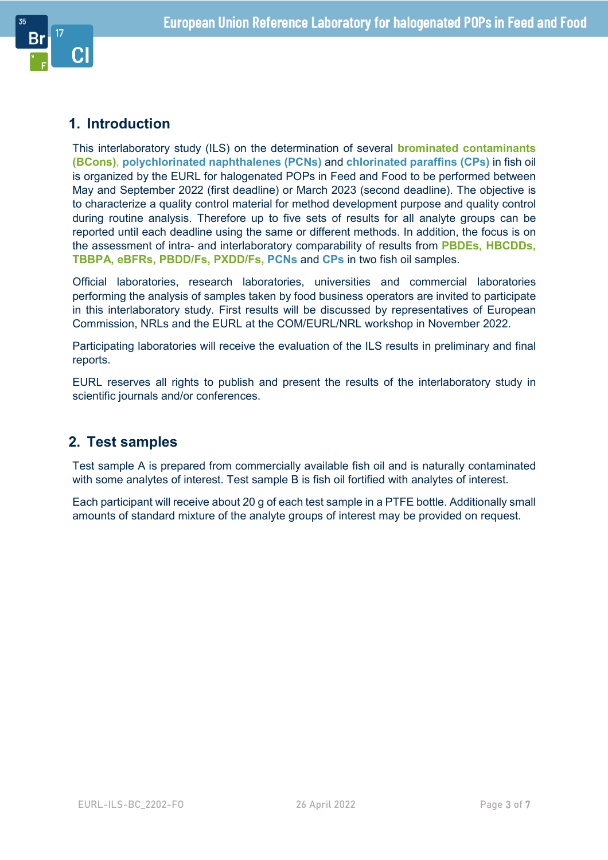

## **1. Introduction**

This interlaboratory study (ILS) on the determination of several **brominated contaminants (BCons)**, **polychlorinated naphthalenes (PCNs)** and **chlorinated paraffins (CPs)** in fish oil is organized by the EURL for halogenated POPs in Feed and Food to be performed between May and September 2022 (first deadline) or March 2023 (second deadline). The objective is to characterize a quality control material for method development purpose and quality control during routine analysis. Therefore up to five sets of results for all analyte groups can be reported until each deadline using the same or different methods. In addition, the focus is on the assessment of intra- and interlaboratory comparability of results from **PBDEs, HBCDDs, TBBPA, eBFRs, PBDD/Fs, PXDD/Fs, PCNs** and **CPs** in two fish oil samples.

Official laboratories, research laboratories, universities and commercial laboratories performing the analysis of samples taken by food business operators are invited to participate in this interlaboratory study. First results will be discussed by representatives of European Commission, NRLs and the EURL at the COM/EURL/NRL workshop in November 2022.

Participating laboratories will receive the evaluation of the ILS results in preliminary and final reports.

EURL reserves all rights to publish and present the results of the interlaboratory study in scientific journals and/or conferences.

#### **2. Test samples**

Test sample A is prepared from commercially available fish oil and is naturally contaminated with some analytes of interest. Test sample B is fish oil fortified with analytes of interest.

Each participant will receive about 20 g of each test sample in a PTFE bottle. Additionally small amounts of standard mixture of the analyte groups of interest may be provided on request.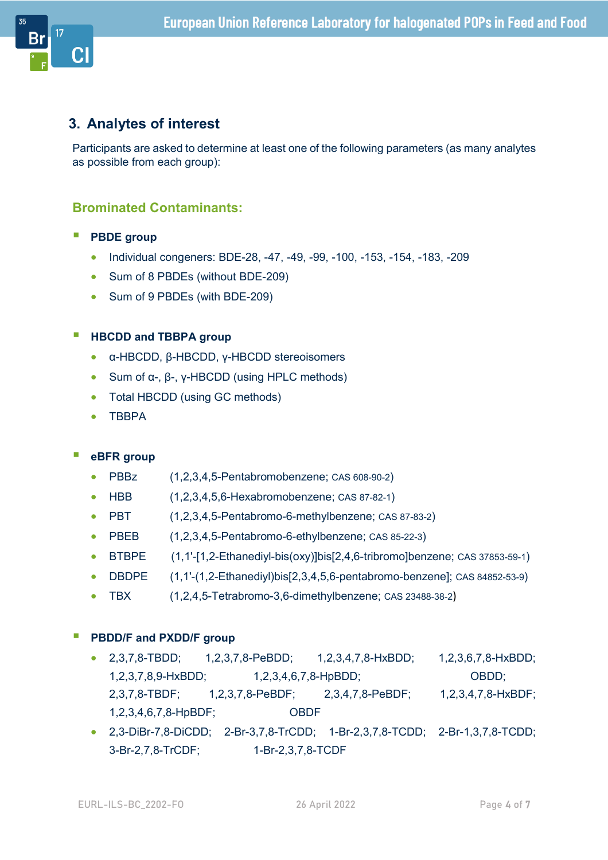

### **3. Analytes of interest**

Participants are asked to determine at least one of the following parameters (as many analytes as possible from each group):

#### **Brominated Contaminants:**

- **PBDE** group
	- Individual congeners: BDE-28, -47, -49, -99, -100, -153, -154, -183, -209
	- Sum of 8 PBDEs (without BDE-209)
	- Sum of 9 PBDEs (with BDE-209)

#### **HBCDD and TBBPA group**

- α-HBCDD, β-HBCDD, γ-HBCDD stereoisomers
- Sum of α-, β-, γ-HBCDD (using HPLC methods)
- Total HBCDD (using GC methods)
- $\bullet$  TRRPA

#### **eBFR group**

- PBBz (1,2,3,4,5-Pentabromobenzene; CAS 608-90-2)
- $\bullet$  HBB  $(1,2,3,4,5,6$ -Hexabromobenzene; CAS 87-82-1)
- PBT  $(1,2,3,4,5$ -Pentabromo-6-methylbenzene; CAS 87-83-2)
- PBEB  $(1,2,3,4,5$ -Pentabromo-6-ethylbenzene; CAS 85-22-3)
- BTBPE (1,1'-[1,2-Ethanediyl-bis(oxy)]bis[2,4,6-tribromo]benzene; CAS 37853-59-1)
- DBDPE (1,1'-(1,2-Ethanediyl)bis[2,3,4,5,6-pentabromo-benzene]; CAS 84852-53-9)
- TBX (1,2,4,5-Tetrabromo-3,6-dimethylbenzene; CAS 23488-38-2)

#### **PBDD/F and PXDD/F group**

- 2,3,7,8-TBDD; 1,2,3,7,8-PeBDD; 1,2,3,4,7,8-HxBDD; 1,2,3,6,7,8-HxBDD; 1,2,3,7,8,9-HxBDD; 1,2,3,4,6,7,8-HpBDD; OBDD; 2,3,7,8-TBDF; 1,2,3,7,8-PeBDF; 2,3,4,7,8-PeBDF; 1,2,3,4,7,8-HxBDF; 1,2,3,4,6,7,8-HpBDF; OBDF
- 2,3-DiBr-7,8-DiCDD; 2-Br-3,7,8-TrCDD; 1-Br-2,3,7,8-TCDD; 2-Br-1,3,7,8-TCDD; 3-Br-2,7,8-TrCDF; 1-Br-2,3,7,8-TCDF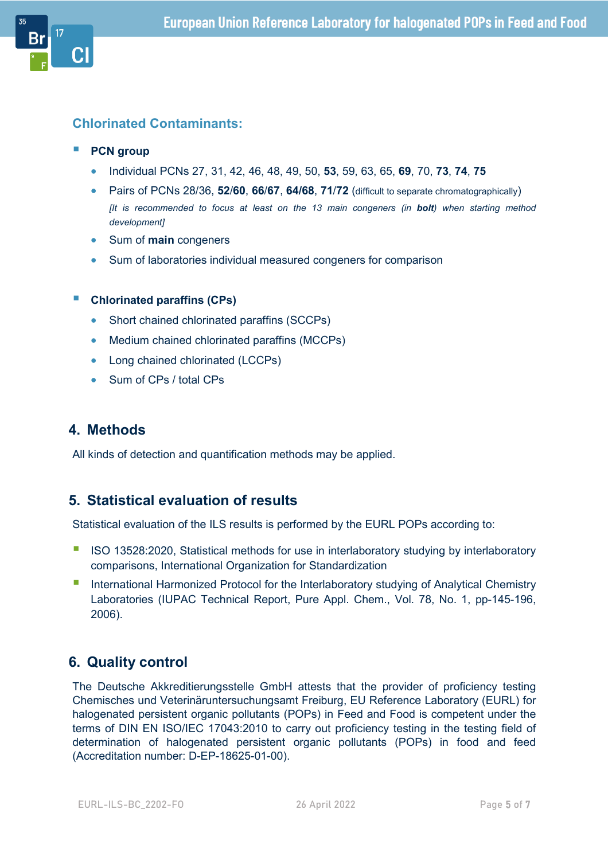#### **Chlorinated Contaminants:**

- **PCN** group
	- Individual PCNs 27, 31, 42, 46, 48, 49, 50, **53**, 59, 63, 65, **69**, 70, **73**, **74**, **75**
	- Pairs of PCNs 28/36, **52**/**60**, **66**/**67**, **64/68**, **71**/**72** (difficult to separate chromatographically) *[It is recommended to focus at least on the 13 main congeners (in bolt) when starting method development]*
	- Sum of **main** congeners
	- Sum of laboratories individual measured congeners for comparison

#### **Chlorinated paraffins (CPs)**

- Short chained chlorinated paraffins (SCCPs)
- Medium chained chlorinated paraffins (MCCPs)
- Long chained chlorinated (LCCPs)
- Sum of CPs / total CPs

### **4. Methods**

All kinds of detection and quantification methods may be applied.

#### **5. Statistical evaluation of results**

Statistical evaluation of the ILS results is performed by the EURL POPs according to:

- ISO 13528:2020, Statistical methods for use in interlaboratory studying by interlaboratory comparisons, International Organization for Standardization
- **International Harmonized Protocol for the Interlaboratory studying of Analytical Chemistry** Laboratories (IUPAC Technical Report, Pure Appl. Chem., Vol. 78, No. 1, pp-145-196, 2006).

# **6. Quality control**

The Deutsche Akkreditierungsstelle GmbH attests that the provider of proficiency testing Chemisches und Veterinäruntersuchungsamt Freiburg, EU Reference Laboratory (EURL) for halogenated persistent organic pollutants (POPs) in Feed and Food is competent under the terms of DIN EN ISO/IEC 17043:2010 to carry out proficiency testing in the testing field of determination of halogenated persistent organic pollutants (POPs) in food and feed (Accreditation number: D-EP-18625-01-00).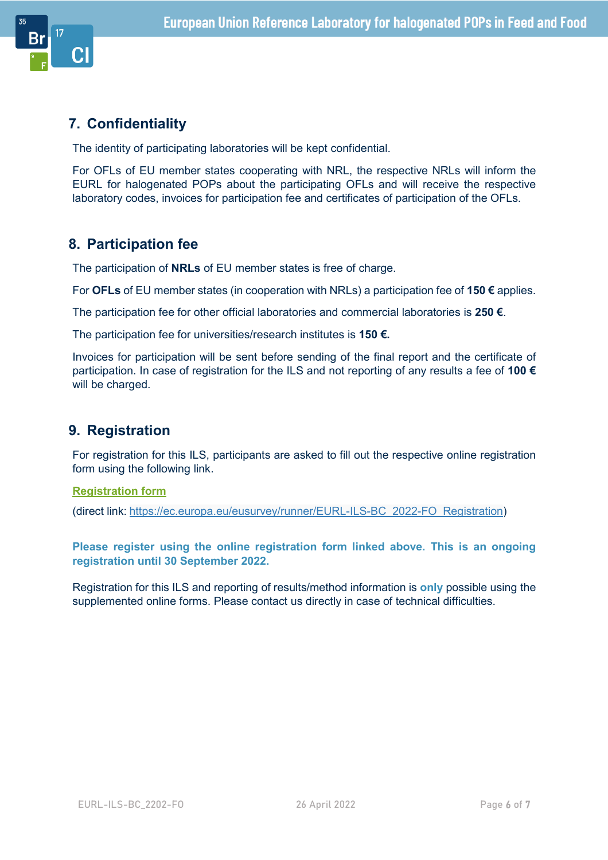

## **7. Confidentiality**

The identity of participating laboratories will be kept confidential.

For OFLs of EU member states cooperating with NRL, the respective NRLs will inform the EURL for halogenated POPs about the participating OFLs and will receive the respective laboratory codes, invoices for participation fee and certificates of participation of the OFLs.

## **8. Participation fee**

The participation of **NRLs** of EU member states is free of charge.

For **OFLs** of EU member states (in cooperation with NRLs) a participation fee of **150 €** applies.

The participation fee for other official laboratories and commercial laboratories is **250 €**.

The participation fee for universities/research institutes is **150 €.**

Invoices for participation will be sent before sending of the final report and the certificate of participation. In case of registration for the ILS and not reporting of any results a fee of **100 €** will be charged.

### **9. Registration**

For registration for this ILS, participants are asked to fill out the respective online registration form using the following link.

#### **Registration form**

(direct link: https://ec.europa.eu/eusurvey/runner/EURL-ILS-BC\_2022-FO\_Registration)

**Please register using the online registration form linked above. This is an ongoing registration until 30 September 2022.** 

Registration for this ILS and reporting of results/method information is **only** possible using the supplemented online forms. Please contact us directly in case of technical difficulties.